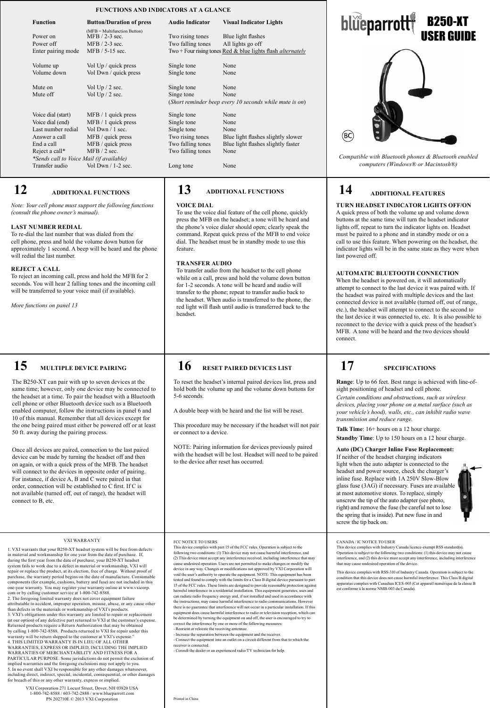### **FUNCTIONS AND INDICATORS AT A GLANCE**

| <b>Function</b>                             | <b>Button/Duration of press</b>                                                           | <b>Audio Indicator</b>                | <b>Visual Indicator Lights</b>                                                                                |
|---------------------------------------------|-------------------------------------------------------------------------------------------|---------------------------------------|---------------------------------------------------------------------------------------------------------------|
| Power on<br>Power off<br>Enter pairing mode | $(MFB = Multifunction Button)$<br>$MFB / 2-3$ sec.<br>$MFB / 2-3$ sec.<br>MFB / 5-15 sec. | Two rising tones<br>Two falling tones | Blue light flashes<br>All lights go off<br>Two + Four rising tones Red & blue lights flash <i>alternately</i> |
| Volume up                                   | Vol Up / quick press                                                                      | Single tone                           | None                                                                                                          |
| Volume down                                 | Vol Dwn / quick press                                                                     | Single tone                           | None                                                                                                          |
| Mute on<br>Mute off                         | Vol $Up/2$ sec.<br>Vol $Up / 2$ sec.                                                      | Single tone<br>Singe tone             | None<br>None<br>(Short reminder beep every 10 seconds while mute is on)                                       |
| Voice dial (start)                          | $MFB / 1$ quick press                                                                     | Single tone                           | None                                                                                                          |
| Voice dial (end)                            | $MFB / 1$ quick press                                                                     | Single tone                           | None                                                                                                          |
| Last number redial                          | Vol Dwn $/1$ sec.                                                                         | Single tone                           | None                                                                                                          |
| Answer a call                               | MFB / quick press                                                                         | Two rising tones                      | Blue light flashes slightly slower                                                                            |
| End a call                                  | MFB / quick press                                                                         | Two falling tones                     | Blue light flashes slightly faster                                                                            |
| Reject a call*                              | MFB / 2 sec.                                                                              | Two falling tones                     | None                                                                                                          |
| *Sends call to Voice Mail (if available)    |                                                                                           |                                       |                                                                                                               |
| Transfer audio                              | Vol Dwn $/$ 1-2 sec.                                                                      | Long tone                             | None                                                                                                          |
|                                             |                                                                                           |                                       |                                                                                                               |

### **12 ADDITIONAL FUNCTIONS**

*Note: Your cell phone must support the following functions (consult the phone owner's manual).*

#### **LAST NUMBER REDIAL**

To re-dial the last number that was dialed from the cell phone, press and hold the volume down button for approximately 1 second. A beep will be heard and the phone will redial the last number.

#### **REJECT A CALL**

To reject an incoming call, press and hold the MFB for 2 seconds. You will hear 2 falling tones and the incoming call will be transferred to your voice mail (if available).

*More functions on panel 13*

# **15 MULTIPLE DEVICE PAIRING**

The B250-XT can pair with up to seven devices at the same time; however, only one device may be connected to the headset at a time. To pair the headset with a Bluetooth cell phone or other Bluetooth device such as a Bluetooth enabled computer, follow the instructions in panel 6 and 10 of this manual. Remember that all devices except for the one being paired must either be powered off or at least 50 ft. away during the pairing process.

Once all devices are paired, connection to the last paired device can be made by turning the headset off and then on again, or with a quick press of the MFB. The headset will connect to the devices in opposite order of pairing. For instance, if device A, B and C were paired in that order, connection will be established to C first. If C is not available (turned off, out of range), the headset will connect to B, etc.

#### VXI WARRANTY

1. VXI warrants that your B250-XT headset system will be free from defects in material and workmanship for one year from the date of purchase. If, during the first year from the date of purchase, your B250-XT headset system fails to work due to a defect in material or workmanship, VXI will<br>repair or replace the product, at its election, free of charge. Without proof of<br>purchase, the warranty period begins on the date of manufacture. Co components (for example, cushions, battery and fuse) are not included in this one-year warranty. You may register your warranty online at www.vxicorp. com or by calling customer service at 1-800-742-8588. 2. The foregoing limited warranty does not cover equipment failure<br>attributable to accident, improper operation, missue, abuse, or any cause other<br>than defects in the materials or workmanship of VXI's products.<br>3. VXI's ob (at our option) of any defective part returned to VXI at the customer's expense.<br>Returned products require a Return Authorization that may be obtained<br>by calling 1-800-742-8588. Products returned to VXI for repair under th WARRANTIES OF MERCHANTABILITY AND FITNESS FOR A PARTICULAR PURPOSE. Some jurisdictions do not permit the exclusion of implied warranties and the foregoing exclusions may not apply to you. 5. In no event shall VXI be responsible for any other damages whatsoever, including direct, indirect, special, incidental, consequential, or other damages for breach of this or any other warranty, express or implied.

VXI Corporation 271 Locust Street, Dover, NH 03820 USA 1-800-742-8588 / 603-742-2888 / www.blueparrott.com PN 202710E © 2013 VXI Corporation

### **13 ADDITIONAL FUNCTIONS**

#### **VOICE DIAL**

To use the voice dial feature of the cell phone, quickly press the MFB on the headset; a tone will be heard and the phone's voice dialer should open; clearly speak the command. Repeat quick press of the MFB to end voice dial. The headset must be in standby mode to use this feature.

#### **TRANSFER AUDIO**

To transfer audio from the headset to the cell phone while on a call, press and hold the volume down button for 1-2 seconds. A tone will be heard and audio will transfer to the phone; repeat to transfer audio back to the headset. When audio is transferred to the phone, the red light will flash until audio is transferred back to the headset.

### **16 RESET PAIRED DEVICES LIST**

To reset the headset's internal paired devices list, press and hold both the volume up and the volume down buttons for 5-6 seconds.

A double beep with be heard and the list will be reset.

This procedure may be necessary if the headset will not pair or connect to a device.

NOTE: Pairing information for devices previously paired with the headset will be lost. Headset will need to be paired to the device after reset has occurred.

#### FCC NOTICE TO USERS

This device complies with part 15 of the FCC rules. Operation is subject to the<br>following two conditions: (1) This device may not cause harmful interference, and<br>(2) This device must accept any interference received, inclu cause undesired operation. Users are not permitted to make changes or modify the<br>device in any way. Changes or modifications not approved by VXI Corporation will<br>void the user's authority to operate the equipment. NOTE: Th tested and found to comply with the limits for a Class B digital device pursuant to part<br>15 of the FCC rules. These limits are designed to provide reasonable protection against<br>harmful interference in a residential install can radiate radio frequency energy and, if not installed and used in accordance with the instructions, may cause harmful interference to radio communications. However there is no guarantee that interference will not occur in a particular installation. If this equipment does cause harmful interference to radio or television reception, which can be determined by turning the equipment on and off, the user is encouraged to try to correct the interference by one or more of the following measures:

- Reorient or relocate the receiving antennae. - Increase the separation between the equipment and the receiver. - Connect the equipment into an outlet on a circuit different from that to which the receiver is connected.

sult the dealer or an experienced radio/TV technician for help.



*Compatible with Bluetooth phones & Bluetooth enabled computers (Windows® or Macintosh®)* 

## **14 ADDITIONAL FEATURES**

#### **TURN HEADSET INDICATOR LIGHTS OFF/ON** A quick press of both the volume up and volume down buttons at the same time will turn the headset indicator lights off, repeat to turn the indicator lights on. Headset must be paired to a phone and in standby mode or on a call to use this feature. When powering on the headset, the indicator lights will be in the same state as they were when last powered off.

#### **AUTOMATIC BLUETOOTH CONNECTION**

When the headset is powered on, it will automatically attempt to connect to the last device it was paired with. If the headset was paired with multiple devices and the last connected device is not available (turned off, out of range, etc.), the headset will attempt to connect to the second to the last device it was connected to, etc. It is also possible to reconnect to the device with a quick press of the headset's MFB. A tone will be heard and the two devices should connect.

### **SPECIFICATIONS**

**17**

**Artwork Example:**

(BC)

**Range**: Up to 66 feet. Best range is achieved with line-ofsight positioning of headset and cell phone.

*Certain conditions and obstructions, such as wireless devices, placing your phone on a metal surface (such as your vehicle's hood), walls, etc., can inhibit radio wave transmission and reduce range.* 

**Talk Time**: 16+ hours on a 12 hour charge.

**Standby Time**: Up to 150 hours on a 12 hour charge.

### **Auto (DC) Charger Inline Fuse Replacement:**

If neither of the headset charging indicators light when the auto adapter is connected to the headset and power source, check the charger's inline fuse. Replace with 1A 250V Slow-Blow glass fuse (3AG) if necessary. Fuses are available at most automotive stores. To replace, simply unscrew the tip of the auto adapter (see photo, right) and remove the fuse (be careful not to lose the spring that is inside). Put new fuse in and screw the tip back on.



#### CANADA / IC NOTICE TO USER

This device complies with Industry Canada licence-exempt RSS standard(s).<br>Operation is subject to the following two conditions: (1) this device may not cause<br>interference, and (2) this device must accept any interference, that may cause undesired operation of the device.

This device complies with RSS-310 of Industry Canada. Operation is subject to the condition that this device does not cause harmful interference. This Class B digital apparatus complies with Canadian ICES-003 (Cet appareil